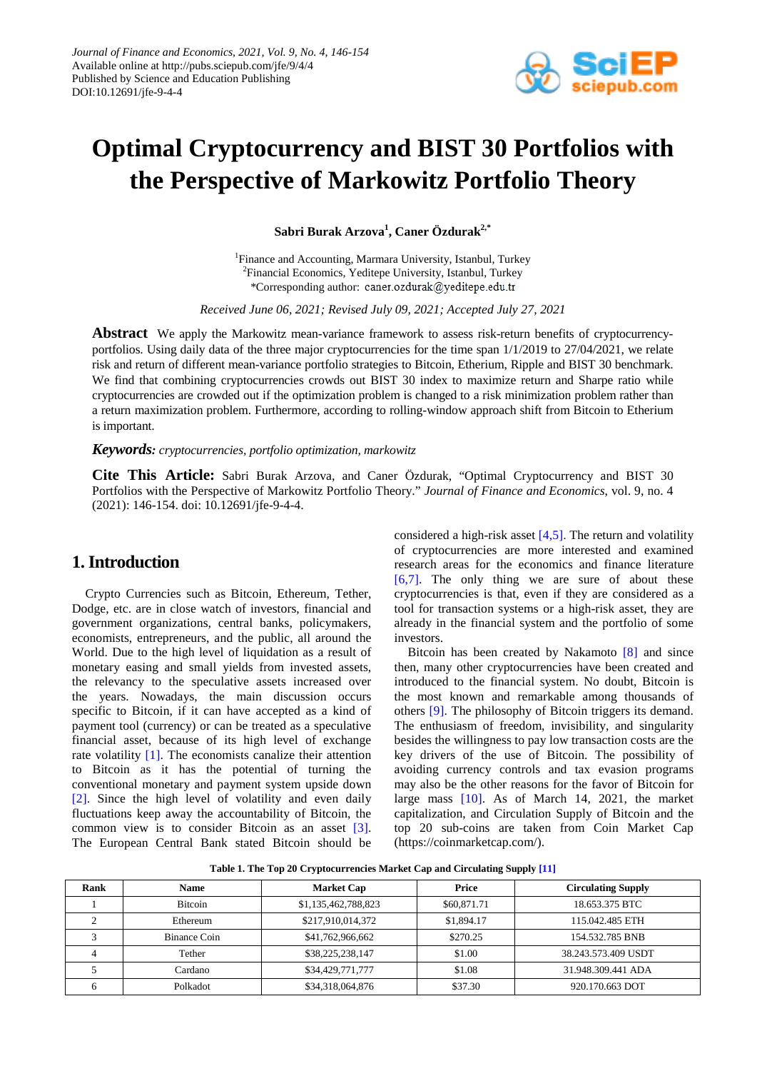

# **Optimal Cryptocurrency and BIST 30 Portfolios with the Perspective of Markowitz Portfolio Theory**

**Sabri Burak Arzova<sup>1</sup> , Caner Özdurak2,\***

<sup>1</sup>Finance and Accounting, Marmara University, Istanbul, Turkey <sup>2</sup>Financial Economics, Yeditepe University, Istanbul, Turkey \*Corresponding author: caner.ozdurak@yeditepe.edu.tr

*Received June 06, 2021; Revised July 09, 2021; Accepted July 27, 2021*

**Abstract** We apply the Markowitz mean-variance framework to assess risk-return benefits of cryptocurrencyportfolios. Using daily data of the three major cryptocurrencies for the time span 1/1/2019 to 27/04/2021, we relate risk and return of different mean-variance portfolio strategies to Bitcoin, Etherium, Ripple and BIST 30 benchmark. We find that combining cryptocurrencies crowds out BIST 30 index to maximize return and Sharpe ratio while cryptocurrencies are crowded out if the optimization problem is changed to a risk minimization problem rather than a return maximization problem. Furthermore, according to rolling-window approach shift from Bitcoin to Etherium is important.

#### *Keywords: cryptocurrencies, portfolio optimization, markowitz*

**Cite This Article:** Sabri Burak Arzova, and Caner Özdurak, "Optimal Cryptocurrency and BIST 30 Portfolios with the Perspective of Markowitz Portfolio Theory." *Journal of Finance and Economics*, vol. 9, no. 4 (2021): 146-154. doi: 10.12691/jfe-9-4-4.

# **1. Introduction**

Crypto Currencies such as Bitcoin, Ethereum, Tether, Dodge, etc. are in close watch of investors, financial and government organizations, central banks, policymakers, economists, entrepreneurs, and the public, all around the World. Due to the high level of liquidation as a result of monetary easing and small yields from invested assets, the relevancy to the speculative assets increased over the years. Nowadays, the main discussion occurs specific to Bitcoin, if it can have accepted as a kind of payment tool (currency) or can be treated as a speculative financial asset, because of its high level of exchange rate volatility [\[1\].](#page-7-0) The economists canalize their attention to Bitcoin as it has the potential of turning the conventional monetary and payment system upside down [\[2\].](#page-7-1) Since the high level of volatility and even daily fluctuations keep away the accountability of Bitcoin, the common view is to consider Bitcoin as an asset [\[3\].](#page-7-2) The European Central Bank stated Bitcoin should be

considered a high-risk asset  $[4,5]$ . The return and volatility of cryptocurrencies are more interested and examined research areas for the economics and finance literature [\[6,7\].](#page-7-4) The only thing we are sure of about these cryptocurrencies is that, even if they are considered as a tool for transaction systems or a high-risk asset, they are already in the financial system and the portfolio of some investors.

Bitcoin has been created by Nakamoto [\[8\]](#page-7-5) and since then, many other cryptocurrencies have been created and introduced to the financial system. No doubt, Bitcoin is the most known and remarkable among thousands of others [\[9\].](#page-7-6) The philosophy of Bitcoin triggers its demand. The enthusiasm of freedom, invisibility, and singularity besides the willingness to pay low transaction costs are the key drivers of the use of Bitcoin. The possibility of avoiding currency controls and tax evasion programs may also be the other reasons for the favor of Bitcoin for large mass [\[10\].](#page-7-7) As of March 14, 2021, the market capitalization, and Circulation Supply of Bitcoin and the top 20 sub-coins are taken from Coin Market Cap (https://coinmarketcap.com/).

**Table 1. The Top 20 Cryptocurrencies Market Cap and Circulating Supply [\[11\]](#page-7-8)**

| Rank | <b>Name</b>    | <b>Market Cap</b>   | Price       | <b>Circulating Supply</b> |
|------|----------------|---------------------|-------------|---------------------------|
|      | <b>Bitcoin</b> | \$1,135,462,788,823 | \$60,871.71 | 18.653.375 BTC            |
| ◠    | Ethereum       | \$217,910,014,372   | \$1,894.17  | 115.042.485 ETH           |
|      | Binance Coin   | \$41,762,966,662    | \$270.25    | 154.532.785 BNB           |
|      | Tether         | \$38,225,238,147    | \$1.00      | 38.243.573.409 USDT       |
|      | Cardano        | \$34,429,771,777    | \$1.08      | 31.948.309.441 ADA        |
|      | Polkadot       | \$34,318,064,876    | \$37.30     | 920.170.663 DOT           |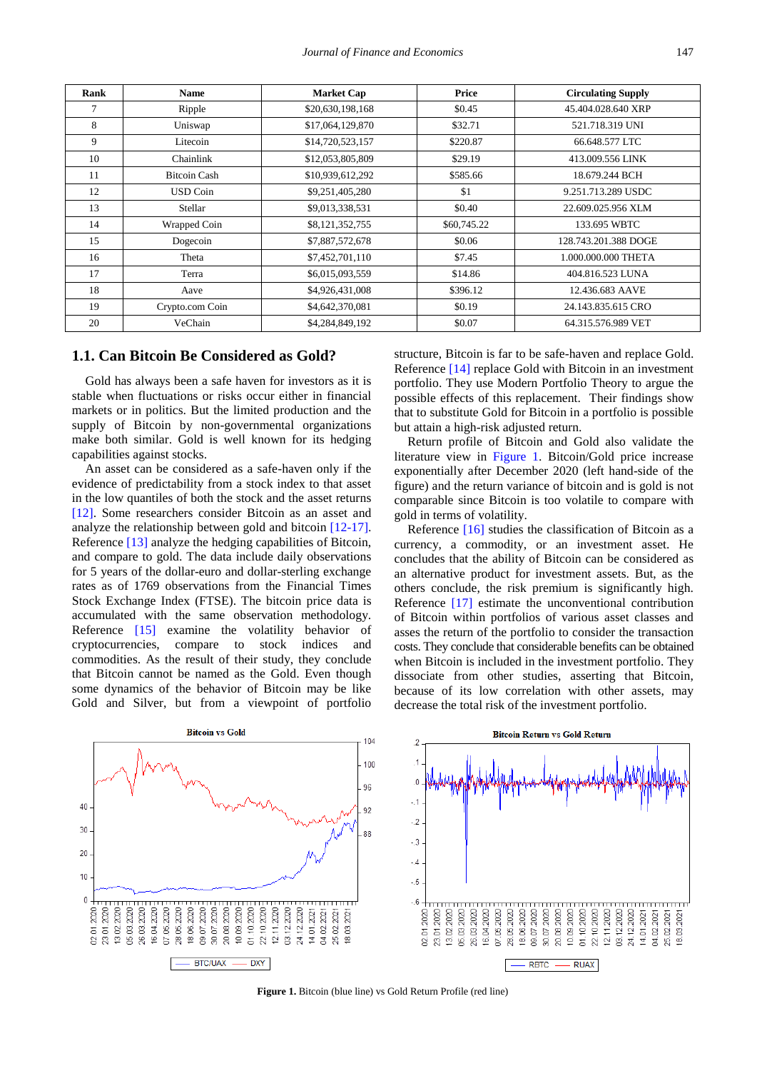| Rank   | <b>Name</b>         | <b>Market Cap</b> | Price       | <b>Circulating Supply</b> |
|--------|---------------------|-------------------|-------------|---------------------------|
| $\tau$ | Ripple              | \$20,630,198,168  | \$0.45      | 45.404.028.640 XRP        |
| 8      | Uniswap             | \$17,064,129,870  | \$32.71     | 521.718.319 UNI           |
| 9      | Litecoin            | \$14,720,523,157  | \$220.87    | 66.648.577 LTC            |
| 10     | Chainlink           | \$12,053,805,809  | \$29.19     | 413.009.556 LINK          |
| 11     | <b>Bitcoin Cash</b> | \$10,939,612,292  | \$585.66    | 18.679.244 BCH            |
| 12     | <b>USD Coin</b>     | \$9,251,405,280   | \$1         | 9.251.713.289 USDC        |
| 13     | Stellar             | \$9,013,338,531   | \$0.40      | 22.609.025.956 XLM        |
| 14     | Wrapped Coin        | \$8,121,352,755   | \$60,745.22 | 133.695 WBTC              |
| 15     | Dogecoin            | \$7,887,572,678   | \$0.06      | 128.743.201.388 DOGE      |
| 16     | Theta               | \$7,452,701,110   | \$7.45      | 1.000.000.000 THETA       |
| 17     | Terra               | \$6,015,093,559   | \$14.86     | 404.816.523 LUNA          |
| 18     | Aave                | \$4,926,431,008   | \$396.12    | 12.436.683 AAVE           |
| 19     | Crypto.com Coin     | \$4,642,370,081   | \$0.19      | 24.143.835.615 CRO        |
| 20     | VeChain             | \$4,284,849,192   | \$0.07      | 64.315.576.989 VET        |

#### **1.1. Can Bitcoin Be Considered as Gold?**

Gold has always been a safe haven for investors as it is stable when fluctuations or risks occur either in financial markets or in politics. But the limited production and the supply of Bitcoin by non-governmental organizations make both similar. Gold is well known for its hedging capabilities against stocks.

An asset can be considered as a safe-haven only if the evidence of predictability from a stock index to that asset in the low quantiles of both the stock and the asset returns [\[12\].](#page-7-9) Some researchers consider Bitcoin as an asset and analyze the relationship between gold and bitcoin [\[12-17\].](#page-7-9) Referenc[e \[13\]](#page-7-10) analyze the hedging capabilities of Bitcoin, and compare to gold. The data include daily observations for 5 years of the dollar-euro and dollar-sterling exchange rates as of 1769 observations from the Financial Times Stock Exchange Index (FTSE). The bitcoin price data is accumulated with the same observation methodology. Reference [\[15\]](#page-7-11) examine the volatility behavior of cryptocurrencies, compare to stock indices and commodities. As the result of their study, they conclude that Bitcoin cannot be named as the Gold. Even though some dynamics of the behavior of Bitcoin may be like Gold and Silver, but from a viewpoint of portfolio

structure, Bitcoin is far to be safe-haven and replace Gold. Reference [\[14\]](#page-7-12) replace Gold with Bitcoin in an investment portfolio. They use Modern Portfolio Theory to argue the possible effects of this replacement. Their findings show that to substitute Gold for Bitcoin in a portfolio is possible but attain a high-risk adjusted return.

Return profile of Bitcoin and Gold also validate the literature view in [Figure 1.](#page-1-0) Bitcoin/Gold price increase exponentially after December 2020 (left hand-side of the figure) and the return variance of bitcoin and is gold is not comparable since Bitcoin is too volatile to compare with gold in terms of volatility.

Reference [\[16\]](#page-7-13) studies the classification of Bitcoin as a currency, a commodity, or an investment asset. He concludes that the ability of Bitcoin can be considered as an alternative product for investment assets. But, as the others conclude, the risk premium is significantly high. Reference [\[17\]](#page-7-14) estimate the unconventional contribution of Bitcoin within portfolios of various asset classes and asses the return of the portfolio to consider the transaction costs. They conclude that considerable benefits can be obtained when Bitcoin is included in the investment portfolio. They dissociate from other studies, asserting that Bitcoin, because of its low correlation with other assets, may decrease the total risk of the investment portfolio.

<span id="page-1-0"></span>

**Figure 1.** Bitcoin (blue line) vs Gold Return Profile (red line)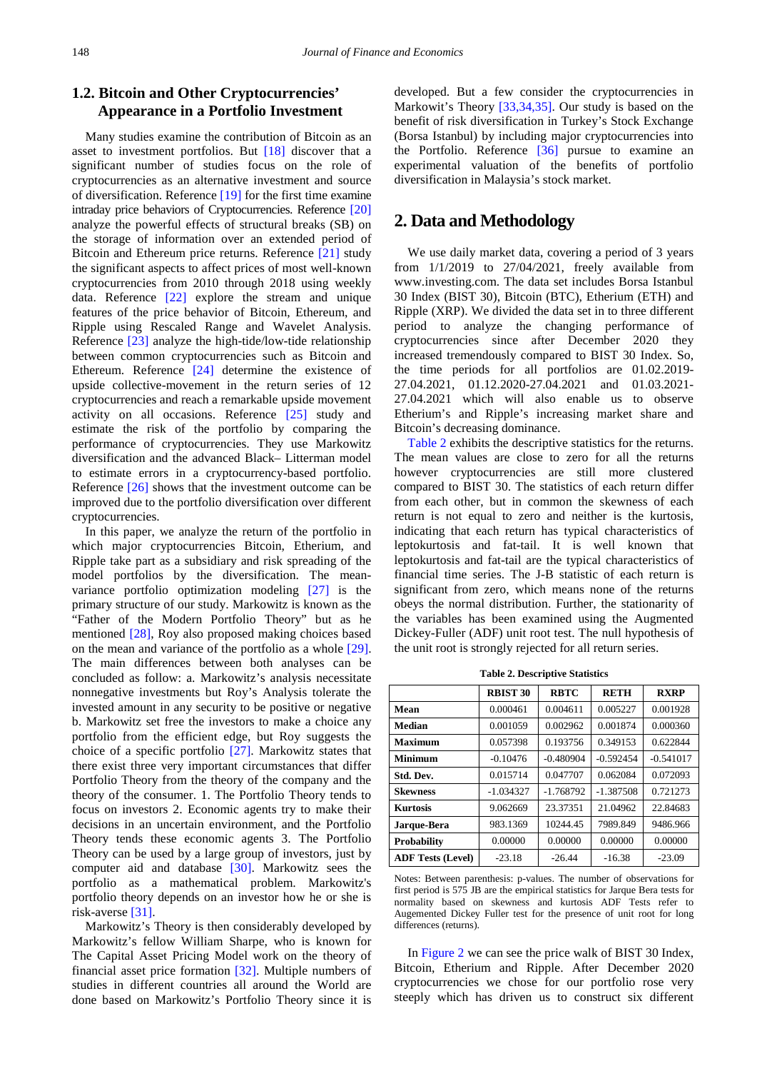# **1.2. Bitcoin and Other Cryptocurrencies' Appearance in a Portfolio Investment**

Many studies examine the contribution of Bitcoin as an asset to investment portfolios. But [\[18\]](#page-7-15) discover that a significant number of studies focus on the role of cryptocurrencies as an alternative investment and source of diversification. Reference [\[19\]](#page-7-16) for the first time examine intraday price behaviors of Cryptocurrencies. Reference [\[20\]](#page-7-17) analyze the powerful effects of structural breaks (SB) on the storage of information over an extended period of Bitcoin and Ethereum price returns. Reference [\[21\]](#page-7-18) study the significant aspects to affect prices of most well-known cryptocurrencies from 2010 through 2018 using weekly data. Reference [\[22\]](#page-8-0) explore the stream and unique features of the price behavior of Bitcoin, Ethereum, and Ripple using Rescaled Range and Wavelet Analysis. Reference [\[23\]](#page-8-1) analyze the high-tide/low-tide relationship between common cryptocurrencies such as Bitcoin and Ethereum. Reference [\[24\]](#page-8-2) determine the existence of upside collective-movement in the return series of 12 cryptocurrencies and reach a remarkable upside movement activity on all occasions. Reference [\[25\]](#page-8-3) study and estimate the risk of the portfolio by comparing the performance of cryptocurrencies. They use Markowitz diversification and the advanced Black– Litterman model to estimate errors in a cryptocurrency-based portfolio. Reference [\[26\]](#page-8-4) shows that the investment outcome can be improved due to the portfolio diversification over different cryptocurrencies.

In this paper, we analyze the return of the portfolio in which major cryptocurrencies Bitcoin, Etherium, and Ripple take part as a subsidiary and risk spreading of the model portfolios by the diversification. The meanvariance portfolio optimization modeling [\[27\]](#page-8-5) is the primary structure of our study. Markowitz is known as the "Father of the Modern Portfolio Theory" but as he mentioned [\[28\],](#page-8-6) Roy also proposed making choices based on the mean and variance of the portfolio as a whole [\[29\].](#page-8-7) The main differences between both analyses can be concluded as follow: a. Markowitz's analysis necessitate nonnegative investments but Roy's Analysis tolerate the invested amount in any security to be positive or negative b. Markowitz set free the investors to make a choice any portfolio from the efficient edge, but Roy suggests the choice of a specific portfolio [\[27\].](#page-8-5) Markowitz states that there exist three very important circumstances that differ Portfolio Theory from the theory of the company and the theory of the consumer. 1. The Portfolio Theory tends to focus on investors 2. Economic agents try to make their decisions in an uncertain environment, and the Portfolio Theory tends these economic agents 3. The Portfolio Theory can be used by a large group of investors, just by computer aid and database [\[30\].](#page-8-8) Markowitz sees the portfolio as a mathematical problem. Markowitz's portfolio theory depends on an investor how he or she is risk-averse [\[31\].](#page-8-9)

Markowitz's Theory is then considerably developed by Markowitz's fellow William Sharpe, who is known for The Capital Asset Pricing Model work on the theory of financial asset price formation [\[32\].](#page-8-10) Multiple numbers of studies in different countries all around the World are done based on Markowitz's Portfolio Theory since it is

developed. But a few consider the cryptocurrencies in Markowit's Theory [\[33,34,35\].](#page-8-11) Our study is based on the benefit of risk diversification in Turkey's Stock Exchange (Borsa Istanbul) by including major cryptocurrencies into the Portfolio. Reference [\[36\]](#page-8-12) pursue to examine an experimental valuation of the benefits of portfolio diversification in Malaysia's stock market.

## **2. Data and Methodology**

We use daily market data, covering a period of 3 years from 1/1/2019 to 27/04/2021, freely available from www.investing.com. The data set includes Borsa Istanbul 30 Index (BIST 30), Bitcoin (BTC), Etherium (ETH) and Ripple (XRP). We divided the data set in to three different period to analyze the changing performance of cryptocurrencies since after December 2020 they increased tremendously compared to BIST 30 Index. So, the time periods for all portfolios are 01.02.2019- 27.04.2021, 01.12.2020-27.04.2021 and 01.03.2021- 27.04.2021 which will also enable us to observe Etherium's and Ripple's increasing market share and Bitcoin's decreasing dominance.

[Table 2](#page-2-0) exhibits the descriptive statistics for the returns. The mean values are close to zero for all the returns however cryptocurrencies are still more clustered compared to BIST 30. The statistics of each return differ from each other, but in common the skewness of each return is not equal to zero and neither is the kurtosis, indicating that each return has typical characteristics of leptokurtosis and fat-tail. It is well known that leptokurtosis and fat-tail are the typical characteristics of financial time series. The J-B statistic of each return is significant from zero, which means none of the returns obeys the normal distribution. Further, the stationarity of the variables has been examined using the Augmented Dickey-Fuller (ADF) unit root test. The null hypothesis of the unit root is strongly rejected for all return series.

<span id="page-2-0"></span>

|                          | <b>RBIST 30</b> | <b>RBTC</b> | <b>RETH</b> | <b>RXRP</b> |
|--------------------------|-----------------|-------------|-------------|-------------|
| Mean                     | 0.000461        | 0.004611    | 0.005227    | 0.001928    |
| <b>Median</b>            | 0.001059        | 0.002962    | 0.001874    | 0.000360    |
| <b>Maximum</b>           | 0.057398        | 0.193756    | 0.349153    | 0.622844    |
| <b>Minimum</b>           | $-0.10476$      | $-0.480904$ | $-0.592454$ | $-0.541017$ |
| Std. Dev.                | 0.015714        | 0.047707    | 0.062084    | 0.072093    |
| <b>Skewness</b>          | $-1.034327$     | $-1.768792$ | $-1.387508$ | 0.721273    |
| <b>Kurtosis</b>          | 9.062669        | 23.37351    | 21.04962    | 22.84683    |
| Jarque-Bera              | 983.1369        | 10244.45    | 7989.849    | 9486.966    |
| <b>Probability</b>       | 0.00000         | 0.00000     | 0.00000     | 0.00000     |
| <b>ADF Tests (Level)</b> | $-23.18$        | $-26.44$    | $-16.38$    | $-23.09$    |

Notes: Between parenthesis: p-values. The number of observations for first period is 575 JB are the empirical statistics for Jarque Bera tests for normality based on skewness and kurtosis ADF Tests refer to Augemented Dickey Fuller test for the presence of unit root for long differences (returns).

I[n Figure 2](#page-3-0) we can see the price walk of BIST 30 Index, Bitcoin, Etherium and Ripple. After December 2020 cryptocurrencies we chose for our portfolio rose very steeply which has driven us to construct six different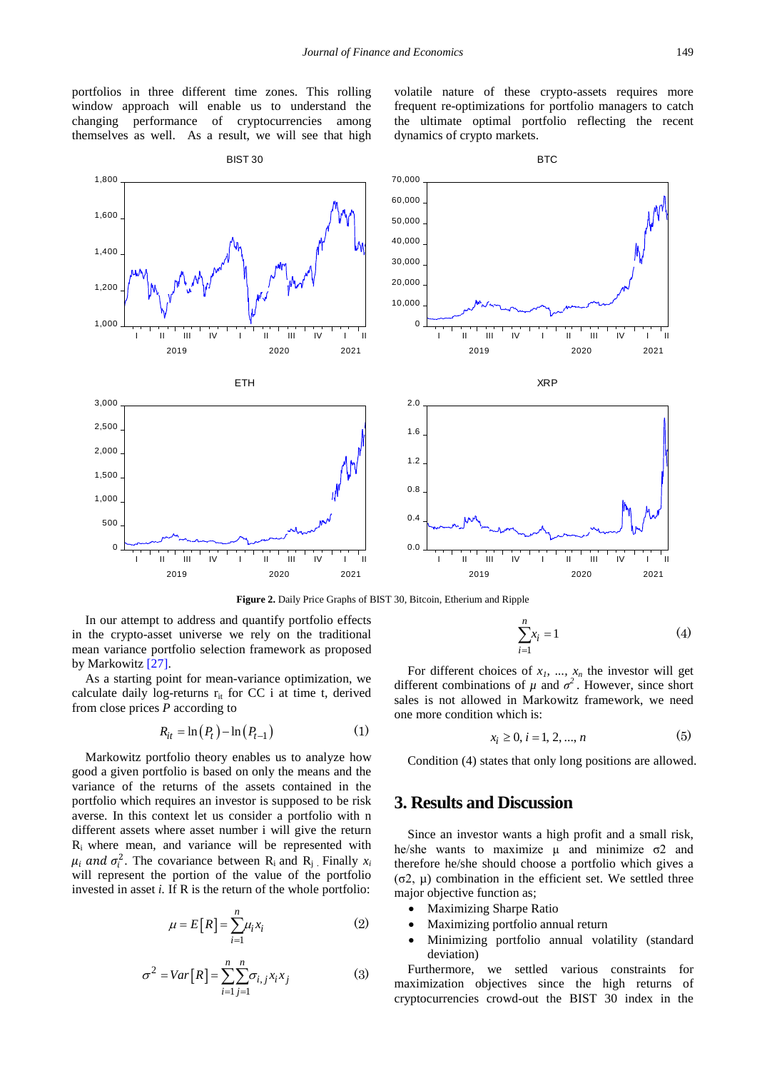portfolios in three different time zones. This rolling window approach will enable us to understand the changing performance of cryptocurrencies among themselves as well. As a result, we will see that high volatile nature of these crypto-assets requires more frequent re-optimizations for portfolio managers to catch the ultimate optimal portfolio reflecting the recent dynamics of crypto markets.

<span id="page-3-0"></span>

**Figure 2.** Daily Price Graphs of BIST 30, Bitcoin, Etherium and Ripple

In our attempt to address and quantify portfolio effects in the crypto-asset universe we rely on the traditional mean variance portfolio selection framework as proposed by Markowitz [\[27\].](#page-8-5)

As a starting point for mean-variance optimization, we calculate daily log-returns  $r_{it}$  for CC i at time t, derived from close prices *P* according to

$$
R_{it} = \ln(P_t) - \ln(P_{t-1})\tag{1}
$$

Markowitz portfolio theory enables us to analyze how good a given portfolio is based on only the means and the variance of the returns of the assets contained in the portfolio which requires an investor is supposed to be risk averse. In this context let us consider a portfolio with n different assets where asset number i will give the return Ri where mean, and variance will be represented with  $\mu_i$  and  $\sigma_i^2$ . The covariance between R<sub>i</sub> and R<sub>j</sub> Finally  $x_i$ will represent the portion of the value of the portfolio invested in asset *i*. If R is the return of the whole portfolio:

$$
\mu = E[R] = \sum_{i=1}^{n} \mu_i x_i \tag{2}
$$

$$
\sigma^2 = Var[R] = \sum_{i=1}^{n} \sum_{j=1}^{n} \sigma_{i,j} x_i x_j \tag{3}
$$

$$
\sum_{i=1}^{n} x_i = 1\tag{4}
$$

For different choices of  $x_1$ , ...,  $x_n$  the investor will get different combinations of  $\mu$  and  $\sigma^2$ . However, since short sales is not allowed in Markowitz framework, we need one more condition which is:

$$
x_i \ge 0, i = 1, 2, ..., n \tag{5}
$$

Condition (4) states that only long positions are allowed.

### **3. Results and Discussion**

Since an investor wants a high profit and a small risk, he/she wants to maximize  $\mu$  and minimize  $\sigma$ 2 and therefore he/she should choose a portfolio which gives a (σ2, µ) combination in the efficient set. We settled three major objective function as;

- Maximizing Sharpe Ratio
- Maximizing portfolio annual return
- Minimizing portfolio annual volatility (standard deviation)

Furthermore, we settled various constraints for maximization objectives since the high returns of cryptocurrencies crowd-out the BIST 30 index in the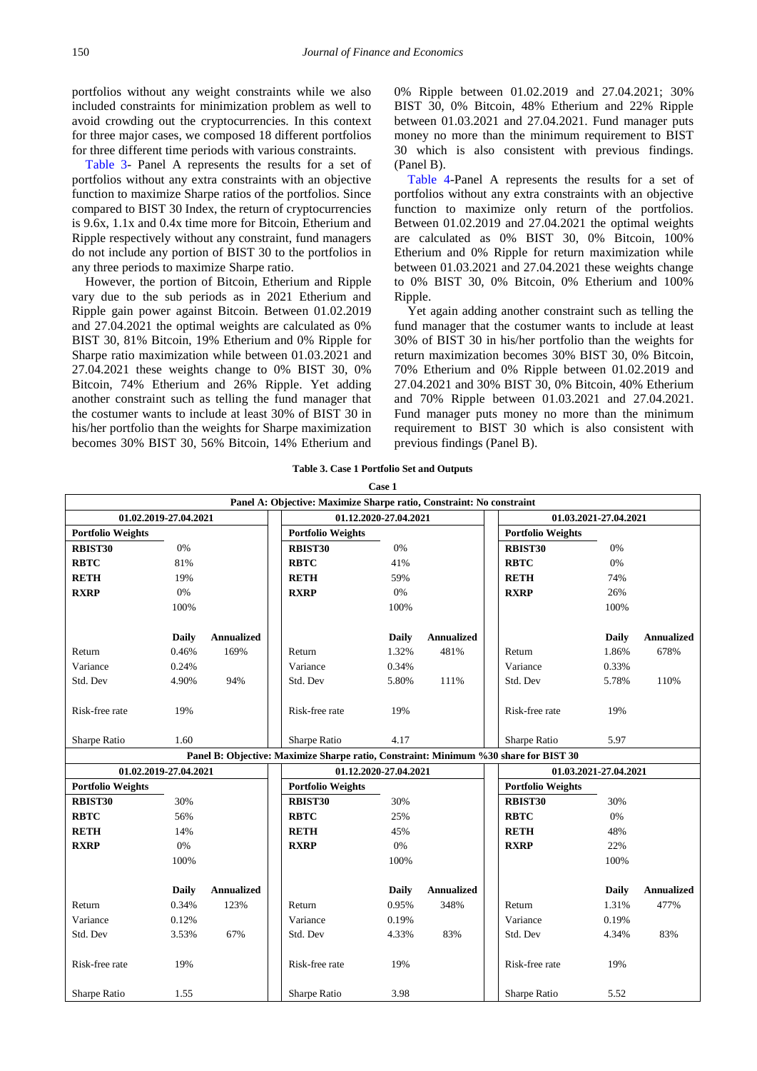portfolios without any weight constraints while we also included constraints for minimization problem as well to avoid crowding out the cryptocurrencies. In this context for three major cases, we composed 18 different portfolios for three different time periods with various constraints.

[Table 3-](#page-4-0) Panel A represents the results for a set of portfolios without any extra constraints with an objective function to maximize Sharpe ratios of the portfolios. Since compared to BIST 30 Index, the return of cryptocurrencies is 9.6x, 1.1x and 0.4x time more for Bitcoin, Etherium and Ripple respectively without any constraint, fund managers do not include any portion of BIST 30 to the portfolios in any three periods to maximize Sharpe ratio.

However, the portion of Bitcoin, Etherium and Ripple vary due to the sub periods as in 2021 Etherium and Ripple gain power against Bitcoin. Between 01.02.2019 and 27.04.2021 the optimal weights are calculated as 0% BIST 30, 81% Bitcoin, 19% Etherium and 0% Ripple for Sharpe ratio maximization while between 01.03.2021 and 27.04.2021 these weights change to 0% BIST 30, 0% Bitcoin, 74% Etherium and 26% Ripple. Yet adding another constraint such as telling the fund manager that the costumer wants to include at least 30% of BIST 30 in his/her portfolio than the weights for Sharpe maximization becomes 30% BIST 30, 56% Bitcoin, 14% Etherium and 0% Ripple between 01.02.2019 and 27.04.2021; 30% BIST 30, 0% Bitcoin, 48% Etherium and 22% Ripple between 01.03.2021 and 27.04.2021. Fund manager puts money no more than the minimum requirement to BIST 30 which is also consistent with previous findings. (Panel B).

[Table 4-](#page-5-0)Panel A represents the results for a set of portfolios without any extra constraints with an objective function to maximize only return of the portfolios. Between 01.02.2019 and 27.04.2021 the optimal weights are calculated as 0% BIST 30, 0% Bitcoin, 100% Etherium and 0% Ripple for return maximization while between 01.03.2021 and 27.04.2021 these weights change to 0% BIST 30, 0% Bitcoin, 0% Etherium and 100% Ripple.

Yet again adding another constraint such as telling the fund manager that the costumer wants to include at least 30% of BIST 30 in his/her portfolio than the weights for return maximization becomes 30% BIST 30, 0% Bitcoin, 70% Etherium and 0% Ripple between 01.02.2019 and 27.04.2021 and 30% BIST 30, 0% Bitcoin, 40% Etherium and 70% Ripple between 01.03.2021 and 27.04.2021. Fund manager puts money no more than the minimum requirement to BIST 30 which is also consistent with previous findings (Panel B).

**Case 1**

<span id="page-4-0"></span>

|                          |                       |            | Panel A: Objective: Maximize Sharpe ratio, Constraint: No constraint                 |                       |            |                          |                       |                   |
|--------------------------|-----------------------|------------|--------------------------------------------------------------------------------------|-----------------------|------------|--------------------------|-----------------------|-------------------|
|                          | 01.02.2019-27.04.2021 |            | 01.12.2020-27.04.2021                                                                |                       |            | 01.03.2021-27.04.2021    |                       |                   |
| <b>Portfolio Weights</b> |                       |            | <b>Portfolio Weights</b>                                                             |                       |            | <b>Portfolio Weights</b> |                       |                   |
| <b>RBIST30</b>           | 0%                    |            | <b>RBIST30</b>                                                                       | 0%                    |            | <b>RBIST30</b>           | 0%                    |                   |
| <b>RBTC</b>              | 81%                   |            | <b>RBTC</b>                                                                          | 41%                   |            | <b>RBTC</b>              | 0%                    |                   |
| <b>RETH</b>              | 19%                   |            | <b>RETH</b>                                                                          | 59%                   |            | <b>RETH</b>              | 74%                   |                   |
| <b>RXRP</b>              | $0\%$                 |            | <b>RXRP</b>                                                                          | 0%                    |            | <b>RXRP</b>              | 26%                   |                   |
|                          | 100%                  |            |                                                                                      | 100%                  |            |                          | 100%                  |                   |
|                          |                       |            |                                                                                      |                       |            |                          |                       |                   |
|                          | <b>Daily</b>          | Annualized |                                                                                      | <b>Daily</b>          | Annualized |                          | <b>Daily</b>          | <b>Annualized</b> |
| Return                   | 0.46%                 | 169%       | Return                                                                               | 1.32%                 | 481%       | Return                   | 1.86%                 | 678%              |
| Variance                 | 0.24%                 |            | Variance                                                                             | 0.34%                 |            | Variance                 | 0.33%                 |                   |
| Std. Dev                 | 4.90%                 | 94%        | Std. Dev                                                                             | 5.80%                 | 111%       | Std. Dev                 | 5.78%                 | 110%              |
|                          |                       |            |                                                                                      |                       |            |                          |                       |                   |
| Risk-free rate           | 19%                   |            | Risk-free rate                                                                       | 19%                   |            | Risk-free rate           | 19%                   |                   |
|                          |                       |            |                                                                                      |                       |            |                          |                       |                   |
| Sharpe Ratio             | 1.60                  |            | Sharpe Ratio                                                                         | 4.17                  |            | Sharpe Ratio             | 5.97                  |                   |
|                          |                       |            | Panel B: Objective: Maximize Sharpe ratio, Constraint: Minimum %30 share for BIST 30 |                       |            |                          |                       |                   |
|                          | 01.02.2019-27.04.2021 |            |                                                                                      | 01.12.2020-27.04.2021 |            |                          | 01.03.2021-27.04.2021 |                   |
| <b>Portfolio Weights</b> |                       |            | <b>Portfolio Weights</b>                                                             |                       |            | <b>Portfolio Weights</b> |                       |                   |
| RBIST30                  | 30%                   |            | <b>RBIST30</b>                                                                       | 30%                   |            | RBIST30                  | 30%                   |                   |
| <b>RBTC</b>              | 56%                   |            | <b>RBTC</b>                                                                          | 25%                   |            | <b>RBTC</b>              | 0%                    |                   |
| <b>RETH</b>              | 14%                   |            | <b>RETH</b>                                                                          | 45%                   |            | <b>RETH</b>              | 48%                   |                   |
| <b>RXRP</b>              | $0\%$                 |            | <b>RXRP</b>                                                                          | 0%                    |            | <b>RXRP</b>              | 22%                   |                   |
|                          | 100%                  |            |                                                                                      | 100%                  |            |                          | 100%                  |                   |
|                          |                       |            |                                                                                      |                       |            |                          |                       |                   |
|                          | <b>Daily</b>          | Annualized |                                                                                      | <b>Daily</b>          | Annualized |                          | <b>Daily</b>          | <b>Annualized</b> |
| Return                   | 0.34%                 | 123%       | Return                                                                               | 0.95%                 | 348%       | Return                   | 1.31%                 | 477%              |
| Variance                 | 0.12%                 |            | Variance                                                                             | 0.19%                 |            | Variance                 | 0.19%                 |                   |
| Std. Dev                 | 3.53%                 | 67%        | Std. Dev                                                                             | 4.33%                 | 83%        | Std. Dev                 | 4.34%                 | 83%               |
|                          |                       |            |                                                                                      |                       |            |                          |                       |                   |
| Risk-free rate           | 19%                   |            | Risk-free rate                                                                       | 19%                   |            | Risk-free rate           | 19%                   |                   |
|                          |                       |            |                                                                                      |                       |            |                          |                       |                   |
| Sharpe Ratio             | 1.55                  |            | Sharpe Ratio                                                                         | 3.98                  |            | Sharpe Ratio             | 5.52                  |                   |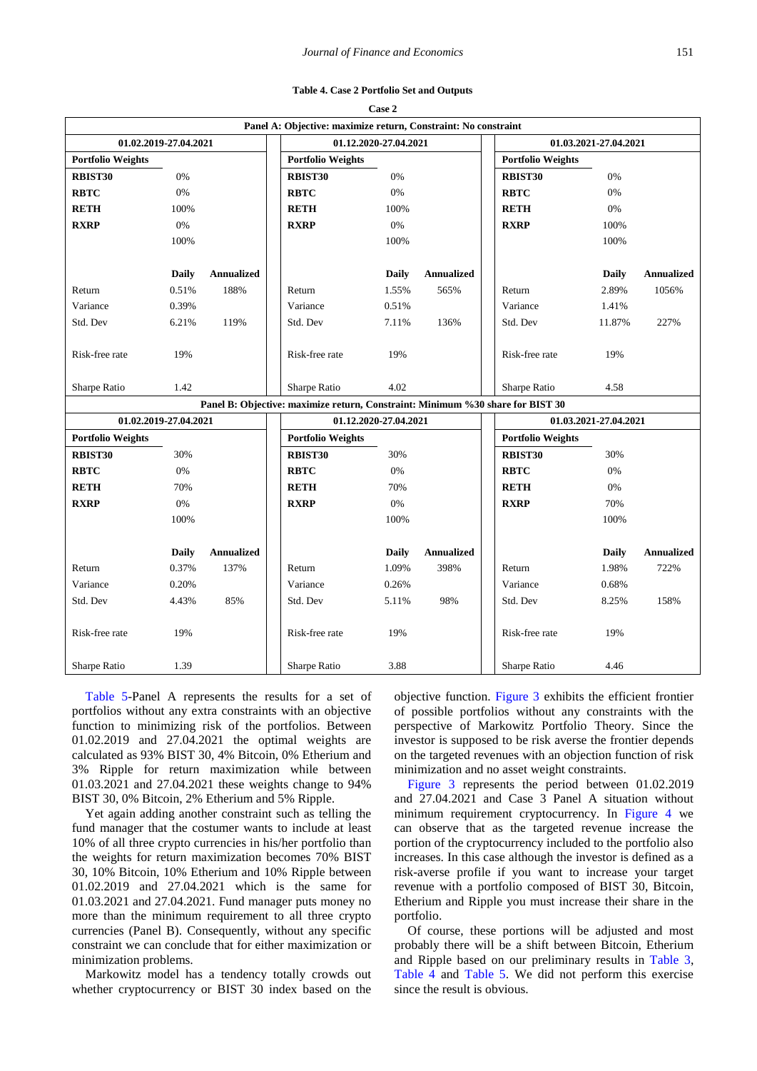<span id="page-5-0"></span>

|                          |              |                   |  | Panel A: Objective: maximize return, Constraint: No constraint                 |              |                   |                          |              |                   |
|--------------------------|--------------|-------------------|--|--------------------------------------------------------------------------------|--------------|-------------------|--------------------------|--------------|-------------------|
| 01.02.2019-27.04.2021    |              |                   |  | 01.12.2020-27.04.2021                                                          |              |                   | 01.03.2021-27.04.2021    |              |                   |
| <b>Portfolio Weights</b> |              |                   |  | <b>Portfolio Weights</b>                                                       |              |                   | <b>Portfolio Weights</b> |              |                   |
| <b>RBIST30</b>           | $0\%$        |                   |  | RBIST30                                                                        | $0\%$        |                   | RBIST30                  | $0\%$        |                   |
| <b>RBTC</b>              | 0%           |                   |  | <b>RBTC</b>                                                                    | $0\%$        |                   | <b>RBTC</b>              | 0%           |                   |
| <b>RETH</b>              | 100%         |                   |  | <b>RETH</b>                                                                    | 100%         |                   | <b>RETH</b>              | 0%           |                   |
| <b>RXRP</b>              | 0%           |                   |  | <b>RXRP</b>                                                                    | 0%           |                   | <b>RXRP</b>              | 100%         |                   |
|                          | 100%         |                   |  |                                                                                | 100%         |                   |                          | 100%         |                   |
|                          |              |                   |  |                                                                                |              |                   |                          |              |                   |
|                          | <b>Daily</b> | <b>Annualized</b> |  |                                                                                | <b>Daily</b> | <b>Annualized</b> |                          | <b>Daily</b> | <b>Annualized</b> |
| Return                   | 0.51%        | 188%              |  | Return                                                                         | 1.55%        | 565%              | Return                   | 2.89%        | 1056%             |
| Variance                 | 0.39%        |                   |  | Variance                                                                       | 0.51%        |                   | Variance                 | 1.41%        |                   |
| Std. Dev                 | 6.21%        | 119%              |  | Std. Dev                                                                       | 7.11%        | 136%              | Std. Dev                 | 11.87%       | 227%              |
| Risk-free rate           | 19%          |                   |  | Risk-free rate                                                                 | 19%          |                   | Risk-free rate           | 19%          |                   |
| Sharpe Ratio             | 1.42         |                   |  | Sharpe Ratio                                                                   | 4.02         |                   | Sharpe Ratio             | 4.58         |                   |
|                          |              |                   |  | Panel B: Objective: maximize return, Constraint: Minimum %30 share for BIST 30 |              |                   |                          |              |                   |
| 01.02.2019-27.04.2021    |              |                   |  | 01.12.2020-27.04.2021                                                          |              |                   | 01.03.2021-27.04.2021    |              |                   |
| <b>Portfolio Weights</b> |              |                   |  | <b>Portfolio Weights</b>                                                       |              |                   | <b>Portfolio Weights</b> |              |                   |
| RBIST30                  | 30%          |                   |  | RBIST30                                                                        | 30%          |                   | RBIST30                  | 30%          |                   |
| <b>RBTC</b>              | 0%           |                   |  | <b>RBTC</b>                                                                    | $0\%$        |                   | <b>RBTC</b>              | 0%           |                   |
| <b>RETH</b>              | 70%          |                   |  | <b>RETH</b>                                                                    | 70%          |                   | <b>RETH</b>              | 0%           |                   |
| <b>RXRP</b>              | 0%           |                   |  | <b>RXRP</b>                                                                    | 0%           |                   | <b>RXRP</b>              | 70%          |                   |
|                          | 100%         |                   |  |                                                                                | 100%         |                   |                          | 100%         |                   |
|                          |              |                   |  |                                                                                |              |                   |                          |              |                   |
|                          | <b>Daily</b> | <b>Annualized</b> |  |                                                                                | <b>Daily</b> | <b>Annualized</b> |                          | <b>Daily</b> | <b>Annualized</b> |
| Return                   | 0.37%        | 137%              |  | Return                                                                         | 1.09%        | 398%              | Return                   | 1.98%        | 722%              |
| Variance                 | 0.20%        |                   |  | Variance                                                                       | 0.26%        |                   | Variance                 | 0.68%        |                   |
| Std. Dev                 | 4.43%        | 85%               |  | Std. Dev                                                                       | 5.11%        | 98%               | Std. Dev                 | 8.25%        | 158%              |
| Risk-free rate           | 19%          |                   |  | Risk-free rate                                                                 | 19%          |                   | Risk-free rate           | 19%          |                   |
| Sharpe Ratio             | 1.39         |                   |  | Sharpe Ratio                                                                   | 3.88         |                   | Sharpe Ratio             | 4.46         |                   |

[Table 5-](#page-6-0)Panel A represents the results for a set of portfolios without any extra constraints with an objective function to minimizing risk of the portfolios. Between 01.02.2019 and 27.04.2021 the optimal weights are calculated as 93% BIST 30, 4% Bitcoin, 0% Etherium and 3% Ripple for return maximization while between 01.03.2021 and 27.04.2021 these weights change to 94% BIST 30, 0% Bitcoin, 2% Etherium and 5% Ripple.

Yet again adding another constraint such as telling the fund manager that the costumer wants to include at least 10% of all three crypto currencies in his/her portfolio than the weights for return maximization becomes 70% BIST 30, 10% Bitcoin, 10% Etherium and 10% Ripple between 01.02.2019 and 27.04.2021 which is the same for 01.03.2021 and 27.04.2021. Fund manager puts money no more than the minimum requirement to all three crypto currencies (Panel B). Consequently, without any specific constraint we can conclude that for either maximization or minimization problems.

Markowitz model has a tendency totally crowds out whether cryptocurrency or BIST 30 index based on the objective function. [Figure 3](#page-6-1) exhibits the efficient frontier of possible portfolios without any constraints with the perspective of Markowitz Portfolio Theory. Since the investor is supposed to be risk averse the frontier depends on the targeted revenues with an objection function of risk minimization and no asset weight constraints.

[Figure 3](#page-6-1) represents the period between 01.02.2019 and 27.04.2021 and Case 3 Panel A situation without minimum requirement cryptocurrency. In [Figure 4](#page-7-19) we can observe that as the targeted revenue increase the portion of the cryptocurrency included to the portfolio also increases. In this case although the investor is defined as a risk-averse profile if you want to increase your target revenue with a portfolio composed of BIST 30, Bitcoin, Etherium and Ripple you must increase their share in the portfolio.

Of course, these portions will be adjusted and most probably there will be a shift between Bitcoin, Etherium and Ripple based on our preliminary results in [Table 3,](#page-4-0) [Table 4](#page-5-0) and [Table 5.](#page-6-0) We did not perform this exercise since the result is obvious.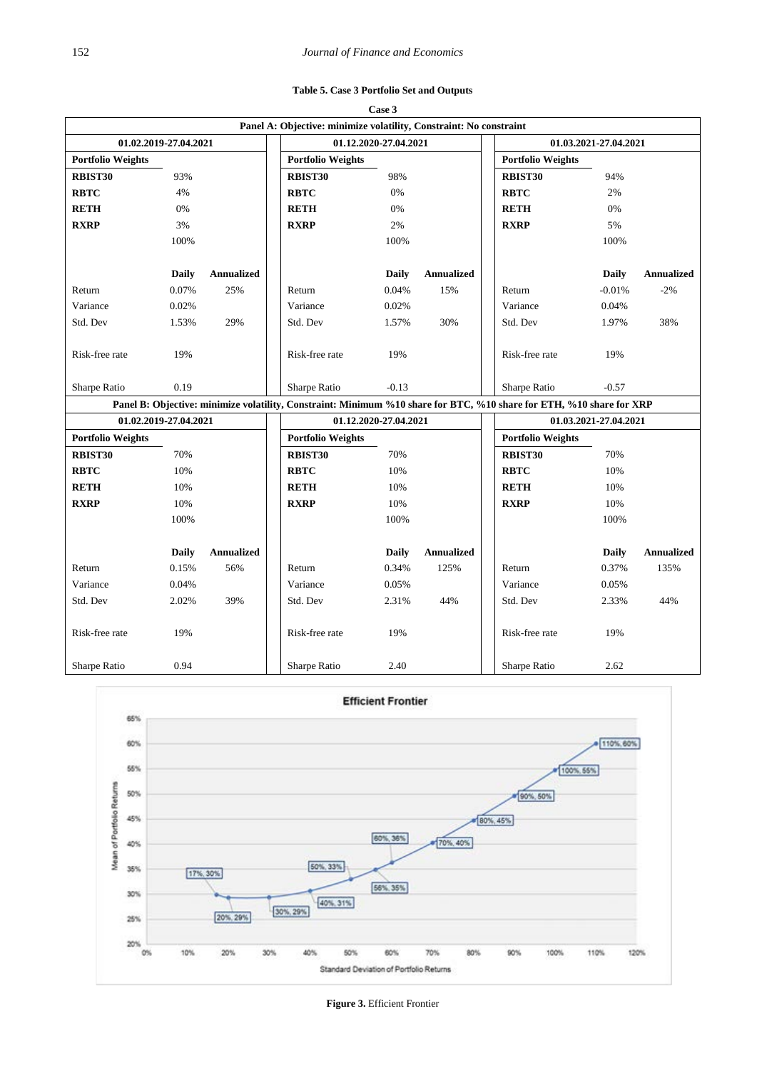| Table 5. Case 3 Portfolio Set and Outputs |  |
|-------------------------------------------|--|
|-------------------------------------------|--|

<span id="page-6-0"></span>

|                          |                       |                   |                                                                                                                      | Case 3                |                   |                          |                       |                   |  |  |
|--------------------------|-----------------------|-------------------|----------------------------------------------------------------------------------------------------------------------|-----------------------|-------------------|--------------------------|-----------------------|-------------------|--|--|
|                          |                       |                   | Panel A: Objective: minimize volatility, Constraint: No constraint                                                   |                       |                   |                          |                       |                   |  |  |
|                          | 01.02.2019-27.04.2021 |                   |                                                                                                                      | 01.12.2020-27.04.2021 |                   |                          | 01.03.2021-27.04.2021 |                   |  |  |
| <b>Portfolio Weights</b> |                       |                   | <b>Portfolio Weights</b>                                                                                             |                       |                   | <b>Portfolio Weights</b> |                       |                   |  |  |
| RBIST30                  | 93%                   |                   | <b>RBIST30</b>                                                                                                       | 98%                   |                   | RBIST30                  | 94%                   |                   |  |  |
| <b>RBTC</b>              | 4%                    |                   | <b>RBTC</b>                                                                                                          | 0%                    |                   | <b>RBTC</b>              | 2%                    |                   |  |  |
| <b>RETH</b>              | 0%                    |                   | <b>RETH</b>                                                                                                          | 0%                    |                   | <b>RETH</b>              | 0%                    |                   |  |  |
| <b>RXRP</b>              | 3%                    |                   | <b>RXRP</b>                                                                                                          | 2%                    |                   | <b>RXRP</b>              | 5%                    |                   |  |  |
|                          | 100%                  |                   |                                                                                                                      | 100%                  |                   |                          | 100%                  |                   |  |  |
|                          | <b>Daily</b>          | <b>Annualized</b> |                                                                                                                      | Daily                 | <b>Annualized</b> |                          | <b>Daily</b>          | <b>Annualized</b> |  |  |
| Return                   | 0.07%                 | 25%               | Return                                                                                                               | 0.04%                 | 15%               | Return                   | $-0.01%$              | $-2%$             |  |  |
| Variance                 | 0.02%                 |                   | Variance                                                                                                             | 0.02%                 |                   | Variance                 | 0.04%                 |                   |  |  |
| Std. Dev                 | 1.53%                 | 29%               | Std. Dev                                                                                                             | 1.57%                 | 30%               | Std. Dev                 | 1.97%                 | 38%               |  |  |
| Risk-free rate           | 19%                   |                   | Risk-free rate                                                                                                       | 19%                   |                   | Risk-free rate           | 19%                   |                   |  |  |
| Sharpe Ratio             | 0.19                  |                   | Sharpe Ratio                                                                                                         | $-0.13$               |                   | Sharpe Ratio             | $-0.57$               |                   |  |  |
|                          |                       |                   | Panel B: Objective: minimize volatility, Constraint: Minimum %10 share for BTC, %10 share for ETH, %10 share for XRP |                       |                   |                          |                       |                   |  |  |
|                          | 01.02.2019-27.04.2021 |                   |                                                                                                                      | 01.12.2020-27.04.2021 |                   |                          | 01.03.2021-27.04.2021 |                   |  |  |
| <b>Portfolio Weights</b> |                       |                   | <b>Portfolio Weights</b>                                                                                             |                       |                   | <b>Portfolio Weights</b> |                       |                   |  |  |
| RBIST30                  | 70%                   |                   | RBIST30                                                                                                              | 70%                   |                   | RBIST30                  | 70%                   |                   |  |  |
| <b>RBTC</b>              | 10%                   |                   | <b>RBTC</b>                                                                                                          | 10%                   |                   | <b>RBTC</b>              | 10%                   |                   |  |  |
| <b>RETH</b>              | 10%                   |                   | <b>RETH</b>                                                                                                          | 10%                   |                   | <b>RETH</b>              | 10%                   |                   |  |  |
| <b>RXRP</b>              | 10%                   |                   | <b>RXRP</b>                                                                                                          | 10%                   |                   | <b>RXRP</b>              | 10%                   |                   |  |  |
|                          | 100%                  |                   |                                                                                                                      | 100%                  |                   |                          | 100%                  |                   |  |  |
|                          | <b>Daily</b>          | <b>Annualized</b> |                                                                                                                      | Daily                 | <b>Annualized</b> |                          | Daily                 | <b>Annualized</b> |  |  |
| Return                   | 0.15%                 | 56%               | Return                                                                                                               | 0.34%                 | 125%              | Return                   | 0.37%                 | 135%              |  |  |
| Variance                 | 0.04%                 |                   | Variance                                                                                                             | 0.05%                 |                   | Variance                 | 0.05%                 |                   |  |  |
| Std. Dev                 | 2.02%                 | 39%               | Std. Dev                                                                                                             | 2.31%                 | 44%               | Std. Dev                 | 2.33%                 | 44%               |  |  |
| Risk-free rate           | 19%                   |                   | Risk-free rate                                                                                                       | 19%                   |                   | Risk-free rate           | 19%                   |                   |  |  |
| Sharpe Ratio             | 0.94                  |                   | Sharpe Ratio                                                                                                         | 2.40                  |                   | Sharpe Ratio             | 2.62                  |                   |  |  |

<span id="page-6-1"></span>

**Figure 3.** Efficient Frontier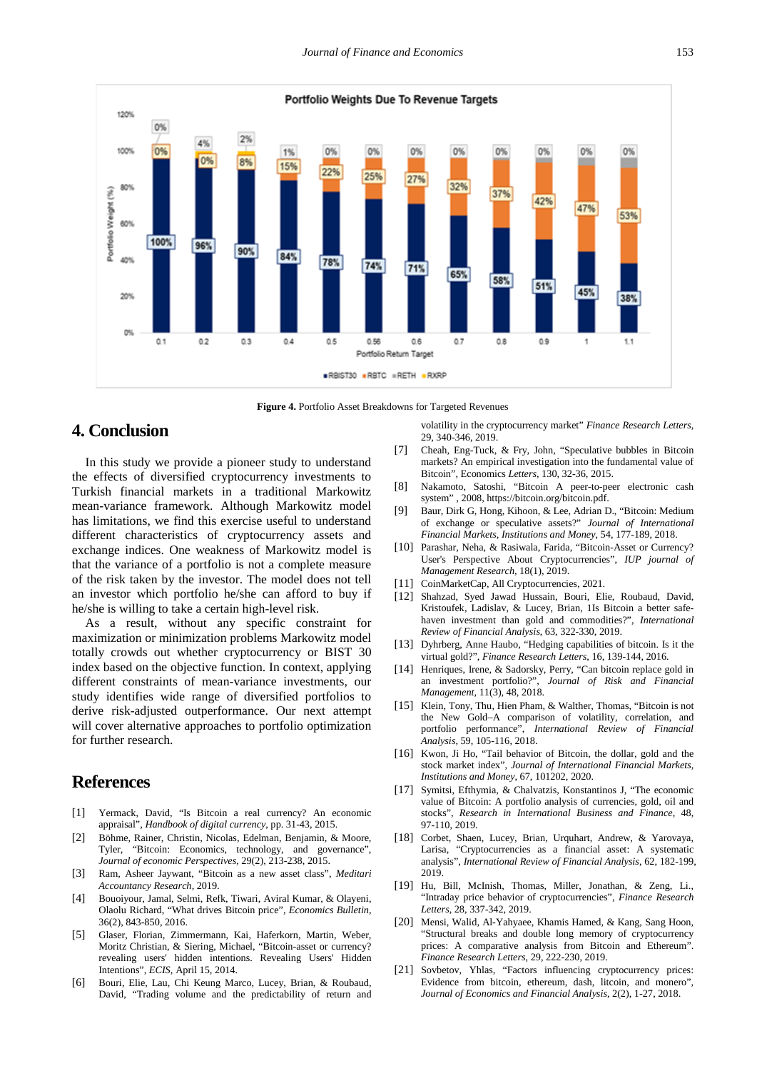<span id="page-7-19"></span>

**Figure 4.** Portfolio Asset Breakdowns for Targeted Revenues

# **4. Conclusion**

In this study we provide a pioneer study to understand the effects of diversified cryptocurrency investments to Turkish financial markets in a traditional Markowitz mean-variance framework. Although Markowitz model has limitations, we find this exercise useful to understand different characteristics of cryptocurrency assets and exchange indices. One weakness of Markowitz model is that the variance of a portfolio is not a complete measure of the risk taken by the investor. The model does not tell an investor which portfolio he/she can afford to buy if he/she is willing to take a certain high-level risk.

As a result, without any specific constraint for maximization or minimization problems Markowitz model totally crowds out whether cryptocurrency or BIST 30 index based on the objective function. In context, applying different constraints of mean-variance investments, our study identifies wide range of diversified portfolios to derive risk-adjusted outperformance. Our next attempt will cover alternative approaches to portfolio optimization for further research.

## **References**

- <span id="page-7-0"></span>[1] Yermack, David, "Is Bitcoin a real currency? An economic appraisal", *Handbook of digital currency*, pp. 31-43, 2015.
- <span id="page-7-1"></span>[2] Böhme, Rainer, Christin, Nicolas, Edelman, Benjamin, & Moore, Tyler, "Bitcoin: Economics, technology, and governance", *Journal of economic Perspectives,* 29(2), 213-238, 2015.
- <span id="page-7-2"></span>[3] Ram, Asheer Jaywant, "Bitcoin as a new asset class", *Meditari Accountancy Research,* 2019.
- <span id="page-7-3"></span>[4] Bouoiyour, Jamal, Selmi, Refk, Tiwari, Aviral Kumar, & Olayeni, Olaolu Richard, "What drives Bitcoin price", *Economics Bulletin*, 36(2), 843-850, 2016.
- [5] Glaser, Florian, Zimmermann, Kai, Haferkorn, Martin, Weber, Moritz Christian, & Siering, Michael, "Bitcoin-asset or currency? revealing users' hidden intentions. Revealing Users' Hidden Intentions", *ECIS*, April 15, 2014.
- <span id="page-7-4"></span>[6] Bouri, Elie, Lau, Chi Keung Marco, Lucey, Brian, & Roubaud, David, "Trading volume and the predictability of return and

volatility in the cryptocurrency market" *Finance Research Letters*, 29, 340-346, 2019.

- [7] Cheah, Eng-Tuck, & Fry, John, "Speculative bubbles in Bitcoin markets? An empirical investigation into the fundamental value of Bitcoin", Economics *Letters*, 130, 32-36, 2015.
- <span id="page-7-5"></span>[8] Nakamoto, Satoshi, "Bitcoin A peer-to-peer electronic cash system" , 2008, https://bitcoin.org/bitcoin.pdf.
- <span id="page-7-6"></span>[9] Baur, Dirk G, Hong, Kihoon, & Lee, Adrian D., "Bitcoin: Medium of exchange or speculative assets?" *Journal of International Financial Markets, Institutions and Money*, 54, 177-189, 2018.
- <span id="page-7-7"></span>[10] Parashar, Neha, & Rasiwala, Farida, "Bitcoin-Asset or Currency? User's Perspective About Cryptocurrencies", *IUP journal of Management Research*, 18(1), 2019.
- <span id="page-7-8"></span>[11] CoinMarketCap, All Cryptocurrencies, 2021.
- <span id="page-7-9"></span>[12] Shahzad, Syed Jawad Hussain, Bouri, Elie, Roubaud, David, Kristoufek, Ladislav, & Lucey, Brian, 1Is Bitcoin a better safehaven investment than gold and commodities?", *International Review of Financial Analysis*, 63, 322-330, 2019.
- <span id="page-7-10"></span>[13] Dyhrberg, Anne Haubo, "Hedging capabilities of bitcoin. Is it the virtual gold?", *Finance Research Letters*, 16, 139-144, 2016.
- <span id="page-7-12"></span>[14] Henriques, Irene, & Sadorsky, Perry, "Can bitcoin replace gold in an investment portfolio?", *Journal of Risk and Financial Management*, 11(3), 48, 2018.
- <span id="page-7-11"></span>[15] Klein, Tony, Thu, Hien Pham, & Walther, Thomas, "Bitcoin is not the New Gold–A comparison of volatility, correlation, and portfolio performance", *International Review of Financial Analysis*, 59, 105-116, 2018.
- <span id="page-7-13"></span>[16] Kwon, Ji Ho, "Tail behavior of Bitcoin, the dollar, gold and the stock market index", *Journal of International Financial Markets, Institutions and Money*, 67, 101202, 2020.
- <span id="page-7-14"></span>[17] Symitsi, Efthymia, & Chalvatzis, Konstantinos J, "The economic value of Bitcoin: A portfolio analysis of currencies, gold, oil and stocks", *Research in International Business and Finance*, 48, 97-110, 2019.
- <span id="page-7-15"></span>[18] Corbet, Shaen, Lucey, Brian, Urquhart, Andrew, & Yarovaya, Larisa, "Cryptocurrencies as a financial asset: A systematic analysis", *International Review of Financial Analysis*, 62, 182-199, 2019.
- <span id="page-7-16"></span>[19] Hu, Bill, McInish, Thomas, Miller, Jonathan, & Zeng, Li., "Intraday price behavior of cryptocurrencies", *Finance Research Letters*, 28, 337-342, 2019.
- <span id="page-7-17"></span>[20] Mensi, Walid, Al-Yahyaee, Khamis Hamed, & Kang, Sang Hoon, "Structural breaks and double long memory of cryptocurrency prices: A comparative analysis from Bitcoin and Ethereum". *Finance Research Letters*, 29, 222-230, 2019.
- <span id="page-7-18"></span>[21] Sovbetov, Yhlas, "Factors influencing cryptocurrency prices: Evidence from bitcoin, ethereum, dash, litcoin, and monero", *Journal of Economics and Financial Analysis*, 2(2), 1-27, 2018.